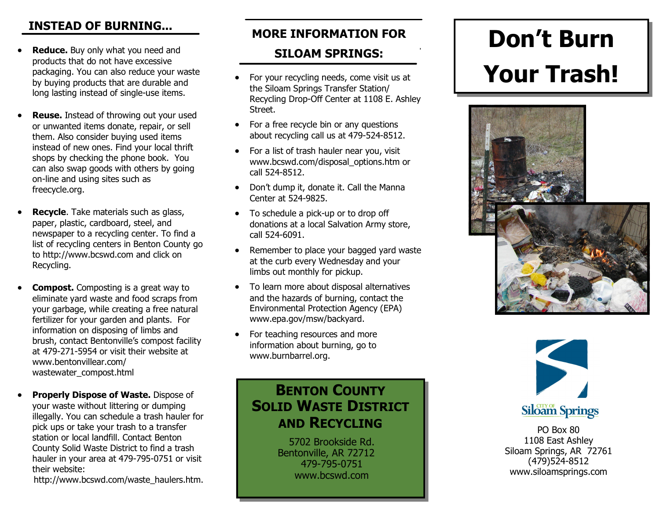## **INSTEAD OF BURNING...**

- **Reduce.** Buy only what you need and **SILOAM SPRINGS:** products that do not have excessive packaging. You can also reduce your waste by buying products that are durable and long lasting instead of single-use items.
- **Reuse.** Instead of throwing out your used or unwanted items donate, repair, or sell them. Also consider buying used items instead of new ones. Find your local thrift shops by checking the phone book. You can also swap goods with others by going on-line and using sites such as freecycle.org.
- **Recycle**. Take materials such as glass, paper, plastic, cardboard, steel, and newspaper to a recycling center. To find a list of recycling centers in Benton County go to http://www.bcswd.com and click on Recycling.
- **Compost.** Composting is a great way to eliminate yard waste and food scraps from your garbage, while creating a free natural fertilizer for your garden and plants. For information on disposing of limbs and brush, contact Bentonville's compost facility at 479-271-5954 or visit their website at www.bentonvillear.com/ wastewater\_compost.html
- **Properly Dispose of Waste.** Dispose of your waste without littering or dumping illegally. You can schedule a trash hauler for pick ups or take your trash to a transfer station or local landfill. Contact Benton County Solid Waste District to find a trash hauler in your area at 479-795-0751 or visit their website:

http://www.bcswd.com/waste\_haulers.htm.

## **MORE INFORMATION FOR**

- the Siloam Springs Transfer Station/ Recycling Drop-Off Center at 1108 E. Ashley Street.
- For a free recycle bin or any questions about recycling call us at 479-524-8512.
- For a list of trash hauler near you, visit www.bcswd.com/disposal\_options.htm or call 524-8512.
- · Don't dump it, donate it. Call the Manna Center at 524-9825.
- $\bullet$  To schedule a pick-up or to drop off donations at a local Salvation Army store, call 5246091.
- Remember to place your bagged yard waste at the curb every Wednesday and your limbs out monthly for pickup.
- · To learn more about disposal alternatives and the hazards of burning, contact the Environmental Protection Agency (EPA) www.epa.gov/msw/backyard.
- For teaching resources and more information about burning, go to www.burnbarrel.org.

## **BENTON COUNTY SOLID WASTE DISTRICT AND RECYCLING**

5702 Brookside Rd. Bentonville, AR 72712 4797950751 www.bcswd.com

# **Don't Burn**  For your recycling needs, come visit us at **Your Trash!**





PO Box 80 1108 East Ashley Siloam Springs, AR 72761  $(479)524-8512$ www.siloamsprings.com